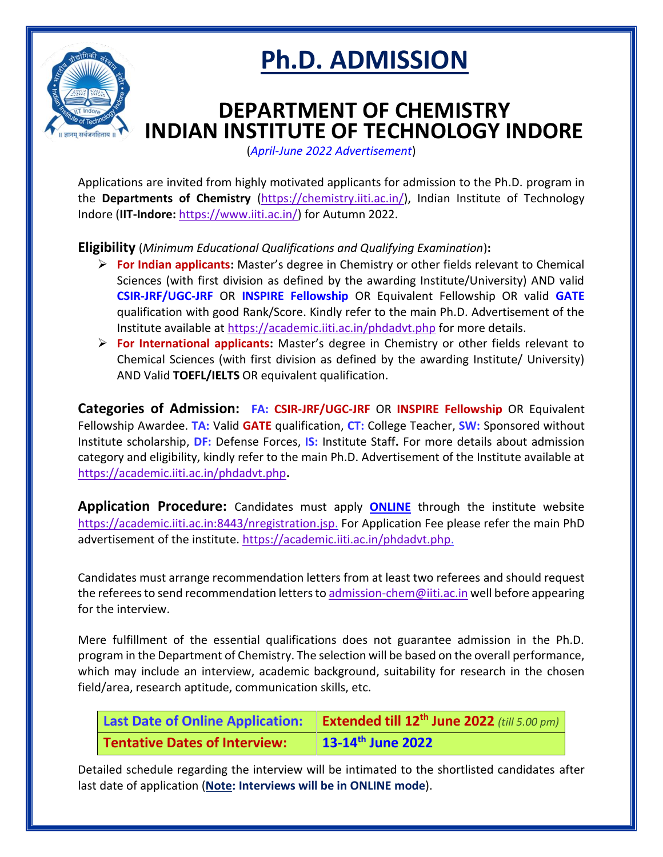

## **Ph.D. ADMISSION**

## **DEPARTMENT OF CHEMISTRY INDIAN INSTITUTE OF TECHNOLOGY INDORE**

(*April-June 2022 Advertisement*)

Applications are invited from highly motivated applicants for admission to the Ph.D. program in the **Departments of Chemistry** [\(https://chemistry.iiti.ac.in/\)](https://chemistry.iiti.ac.in/), Indian Institute of Technology Indore (**IIT-Indore:** [https://www.iiti.ac.in/\)](https://www.iiti.ac.in/) for Autumn 2022.

**Eligibility** (*Minimum Educational Qualifications and Qualifying Examination*)**:**

- ➢ **For Indian applicants:** Master's degree in Chemistry or other fields relevant to Chemical Sciences (with first division as defined by the awarding Institute/University) AND valid **CSIR-JRF/UGC-JRF** OR **INSPIRE Fellowship** OR Equivalent Fellowship OR valid **GATE** qualification with good Rank/Score. Kindly refer to the main Ph.D. Advertisement of the Institute available at <https://academic.iiti.ac.in/phdadvt.php> for more details.
- ➢ **For International applicants:** Master's degree in Chemistry or other fields relevant to Chemical Sciences (with first division as defined by the awarding Institute/ University) AND Valid **TOEFL/IELTS** OR equivalent qualification.

**Categories of Admission: FA: CSIR-JRF/UGC-JRF** OR **INSPIRE Fellowship** OR Equivalent Fellowship Awardee. **TA:** Valid **GATE** qualification, **CT:** College Teacher, **SW:** Sponsored without Institute scholarship, **DF:** Defense Forces, **IS:** Institute Staff**.** For more details about admission category and eligibility, kindly refer to the main Ph.D. Advertisement of the Institute available at <https://academic.iiti.ac.in/phdadvt.php>**.**

**Application Procedure:** Candidates must apply **[ONLINE](http://academic.iiti.ac.in:8080/nregistration.jsp)** through the institute website [https://academic.iiti.ac.in:8443/nregistration.jsp.](https://academic.iiti.ac.in:8443/nregistration.jsp) For Application Fee please refer the main PhD advertisement of the institute. [https://academic.iiti.ac.in/phdadvt.php.](https://academic.iiti.ac.in/phdadvt.php)

Candidates must arrange recommendation letters from at least two referees and should request the referees to send recommendation letters t[o admission-chem@iiti.ac.in](mailto:admission-chem@iiti.ac.in) well before appearing for the interview.

Mere fulfillment of the essential qualifications does not guarantee admission in the Ph.D. program in the Department of Chemistry. The selection will be based on the overall performance, which may include an interview, academic background, suitability for research in the chosen field/area, research aptitude, communication skills, etc.

|                               | Last Date of Online Application:   Extended till 12 <sup>th</sup> June 2022 (till 5.00 pm) |
|-------------------------------|--------------------------------------------------------------------------------------------|
| Tentative Dates of Interview: | $\frac{13-14^{\text{th}}}{}$ June 2022                                                     |

Detailed schedule regarding the interview will be intimated to the shortlisted candidates after last date of application (**Note: Interviews will be in ONLINE mode**).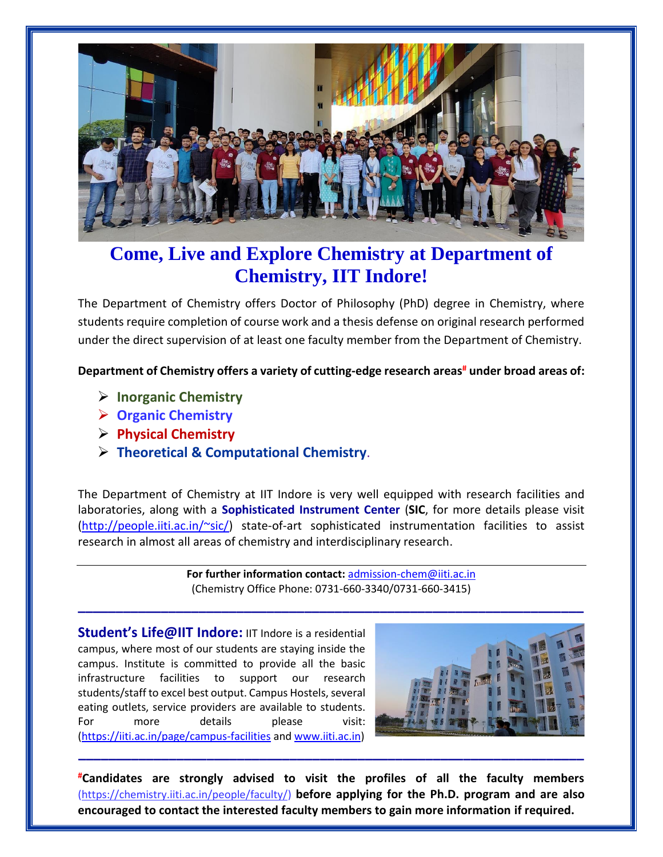

## **Come, Live and Explore Chemistry at Department of Chemistry, IIT Indore!**

The Department of Chemistry offers Doctor of Philosophy (PhD) degree in Chemistry, where students require completion of course work and a thesis defense on original research performed under the direct supervision of at least one faculty member from the Department of Chemistry.

**Department of Chemistry offers a variety of cutting-edge research areas# under broad areas of:**

- ➢ **Inorganic Chemistry**
- ➢ **Organic Chemistry**
- ➢ **Physical Chemistry**
- ➢ **Theoretical & Computational Chemistry**.

The Department of Chemistry at IIT Indore is very well equipped with research facilities and laboratories, along with a **Sophisticated Instrument Center** (**SIC**, for more details please visit [\(http://people.iiti.ac.in/~sic/\)](http://people.iiti.ac.in/~sic/) state-of-art sophisticated instrumentation facilities to assist research in almost all areas of chemistry and interdisciplinary research.

> **For further information contact:** [admission-chem@iiti.ac.in](mailto:admission-chem@iiti.ac.in) (Chemistry Office Phone: 0731-660-3340/0731-660-3415)

**\_\_\_\_\_\_\_\_\_\_\_\_\_\_\_\_\_\_\_\_\_\_\_\_\_\_\_\_\_\_\_\_\_\_\_\_\_\_\_\_\_\_\_\_\_\_\_\_\_\_\_\_\_\_\_\_\_\_\_\_\_\_\_\_\_\_\_**

**Student's Life@IIT Indore:** IIT Indore is a residential campus, where most of our students are staying inside the campus. Institute is committed to provide all the basic infrastructure facilities to support our research students/staff to excel best output. Campus Hostels, several eating outlets, service providers are available to students. For more details please visit: [\(https://iiti.ac.in/page/campus-facilities](https://iiti.ac.in/page/campus-facilities) and [www.iiti.ac.in\)](http://www.iiti.ac.in/)



**#Candidates are strongly advised to visit the profiles of all the faculty members**  [\(https://chemistry.iiti.ac.in/people/faculty/\)](https://chemistry.iiti.ac.in/people/faculty/) **before applying for the Ph.D. program and are also encouraged to contact the interested faculty members to gain more information if required.**

**\_\_\_\_\_\_\_\_\_\_\_\_\_\_\_\_\_\_\_\_\_\_\_\_\_\_\_\_\_\_\_\_\_\_\_\_\_\_\_\_\_\_\_\_\_\_\_\_\_\_\_\_\_\_\_\_\_\_\_\_\_\_\_\_\_\_\_**